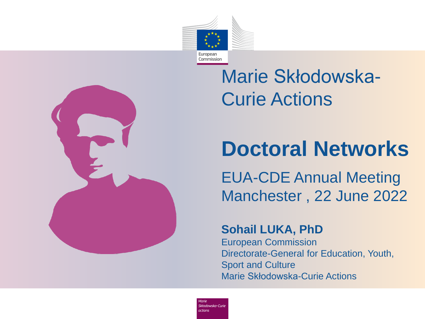

## Marie Skłodowska-Curie Actions

## **Doctoral Networks**

EUA-CDE Annual Meeting Manchester , 22 June 2022

#### **Sohail LUKA, PhD**

European Commission Directorate-General for Education, Youth, Sport and Culture Marie Skłodowska-Curie Actions

Skłodowska-Curie *actions*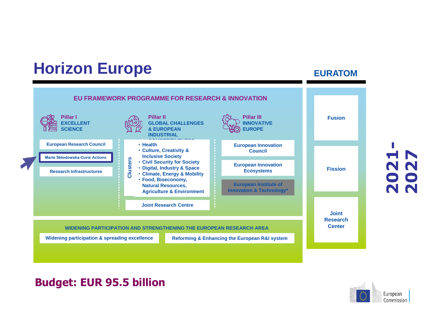### **Horizon Europe EURATOM**



#### **Budget: EUR 95.5 billion**



**2021 2027**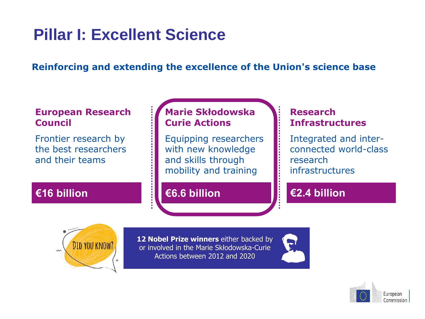### **Pillar I: Excellent Science**

#### **Reinforcing and extending the excellence of the Union's science base**

#### **European Research Council**

Frontier research by the best researchers and their teams

#### **Marie Skłodowska Curie Actions**

Equipping researchers with new knowledge and skills through mobility and training

#### **€16 billion €6.6 billion €2.4 billion**

#### **Research Infrastructures**

Integrated and interconnected world-class research infrastructures



**12 Nobel Prize winners** either backed by or involved in the Marie Skłodowska-Curie Actions between 2012 and 2020



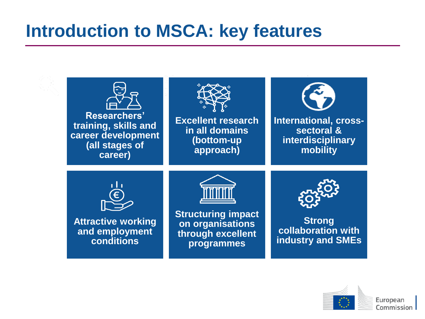## **Introduction to MSCA: key features**



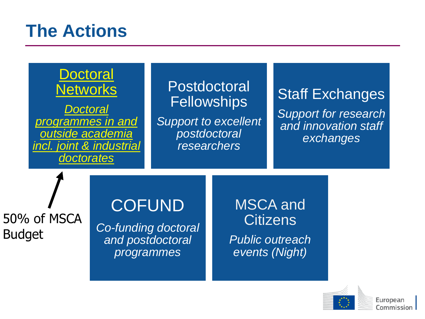## **The Actions**



50% of MSCA Budget

### **COFUND**

*Co-funding doctoral and postdoctoral programmes*

MSCA and **Citizens** 

*Public outreach events (Night)*



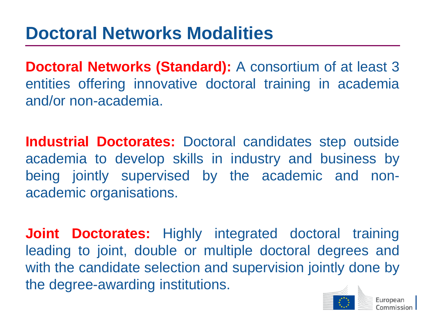**Doctoral Networks (Standard):** A consortium of at least 3 entities offering innovative doctoral training in academia and/or non-academia.

**Industrial Doctorates:** Doctoral candidates step outside academia to develop skills in industry and business by being jointly supervised by the academic and nonacademic organisations.

**Joint Doctorates:** Highly integrated doctoral training leading to joint, double or multiple doctoral degrees and with the candidate selection and supervision jointly done by the degree-awarding institutions.

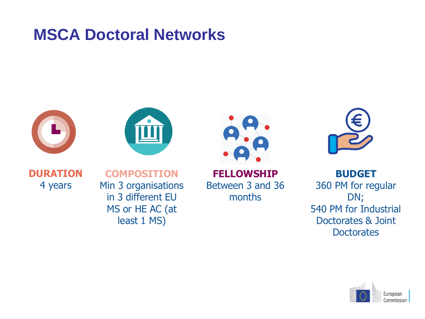#### **MSCA Doctoral Networks**









**DURATION** 4 years

**COMPOSITION** Min 3 organisations in 3 different EU MS or HE AC (at least 1 MS)

**FELLOWSHIP** Between 3 and 36 months

**BUDGET** 360 PM for regular DN; 540 PM for Industrial Doctorates & Joint **Doctorates** 

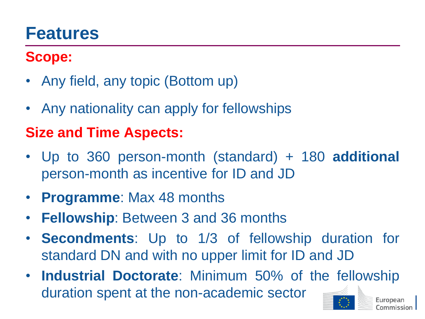### **Features**

#### **Scope:**

- Any field, any topic (Bottom up)
- Any nationality can apply for fellowships

#### **Size and Time Aspects:**

- Up to 360 person-month (standard) + 180 **additional** person-month as incentive for ID and JD
- **Programme**: Max 48 months
- **Fellowship**: Between 3 and 36 months
- **Secondments**: Up to 1/3 of fellowship duration for standard DN and with no upper limit for ID and JD
- **Industrial Doctorate**: Minimum 50% of the fellowship duration spent at the non-academic sector European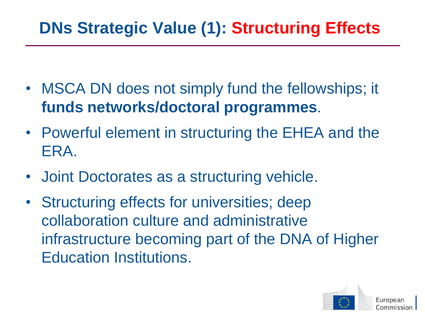### **DNs Strategic Value (1): Structuring Effects**

- MSCA DN does not simply fund the fellowships; it **funds networks/doctoral programmes**.
- Powerful element in structuring the EHEA and the ERA.
- Joint Doctorates as a structuring vehicle.
- Structuring effects for universities; deep collaboration culture and administrative infrastructure becoming part of the DNA of Higher Education Institutions.

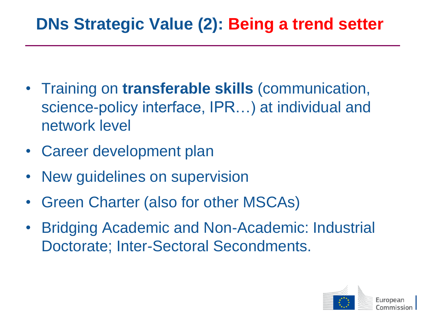### **DNs Strategic Value (2): Being a trend setter**

- Training on **transferable skills** (communication, science-policy interface, IPR…) at individual and network level
- Career development plan
- New guidelines on supervision
- Green Charter (also for other MSCAs)
- Bridging Academic and Non-Academic: Industrial Doctorate; Inter-Sectoral Secondments.

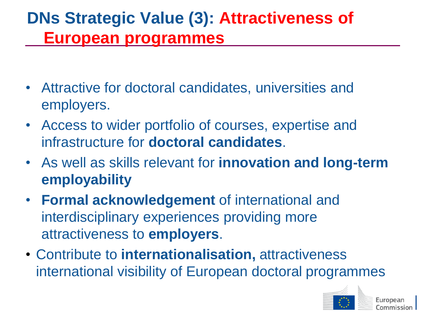### **DNs Strategic Value (3): Attractiveness of European programmes**

- Attractive for doctoral candidates, universities and employers.
- Access to wider portfolio of courses, expertise and infrastructure for **doctoral candidates**.
- As well as skills relevant for **innovation and long-term employability**
- **Formal acknowledgement** of international and interdisciplinary experiences providing more attractiveness to **employers**.
- Contribute to **internationalisation,** attractiveness international visibility of European doctoral programmes